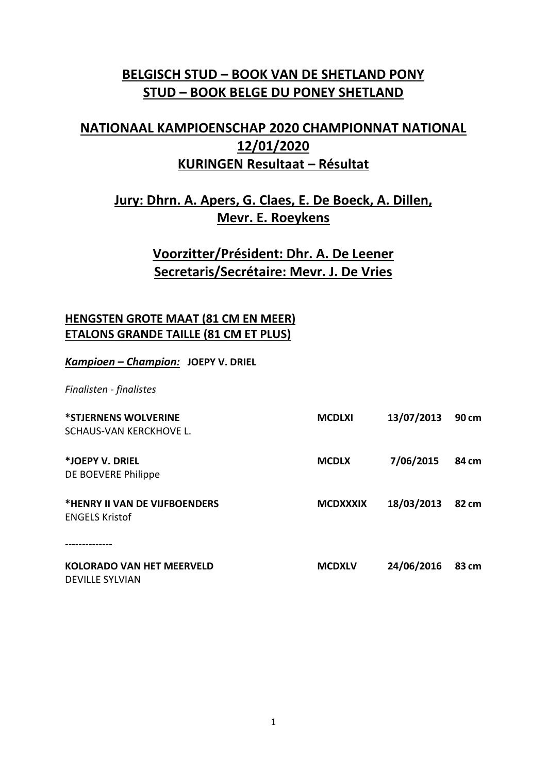## **BELGISCH STUD – BOOK VAN DE SHETLAND PONY STUD – BOOK BELGE DU PONEY SHETLAND**

# **NATIONAAL KAMPIOENSCHAP 2020 CHAMPIONNAT NATIONAL 12/01/2020 KURINGEN Resultaat – Résultat**

# **Jury: Dhrn. A. Apers, G. Claes, E. De Boeck, A. Dillen, Mevr. E. Roeykens**

# **Voorzitter/Président: Dhr. A. De Leener Secretaris/Secrétaire: Mevr. J. De Vries**

### **HENGSTEN GROTE MAAT (81 CM EN MEER) ETALONS GRANDE TAILLE (81 CM ET PLUS)**

#### *Kampioen – Champion:* **JOEPY V. DRIEL**

| *STJERNENS WOLVERINE<br>SCHAUS-VAN KERCKHOVE L.            | <b>MCDLXI</b>   | 13/07/2013 | 90 cm |
|------------------------------------------------------------|-----------------|------------|-------|
| *JOEPY V. DRIEL<br>DE BOEVERE Philippe                     | <b>MCDLX</b>    | 7/06/2015  | 84 cm |
| *HENRY II VAN DE VIJFBOENDERS<br><b>ENGELS Kristof</b>     | <b>MCDXXXIX</b> | 18/03/2013 | 82 cm |
| <b>KOLORADO VAN HET MEERVELD</b><br><b>DEVILLE SYLVIAN</b> | <b>MCDXLV</b>   | 24/06/2016 | 83 cm |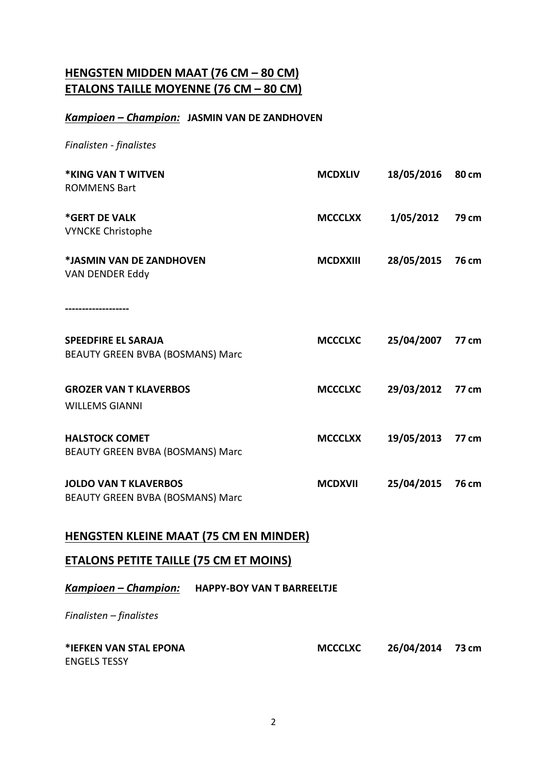### **HENGSTEN MIDDEN MAAT (76 CM – 80 CM) ETALONS TAILLE MOYENNE (76 CM – 80 CM)**

### *Kampioen – Champion:* **JASMIN VAN DE ZANDHOVEN**

*Finalisten - finalistes*

| *KING VAN T WITVEN<br><b>ROMMENS Bart</b>                             | <b>MCDXLIV</b>  | 18/05/2016 | 80 cm |
|-----------------------------------------------------------------------|-----------------|------------|-------|
| *GERT DE VALK<br><b>VYNCKE Christophe</b>                             | <b>MCCCLXX</b>  | 1/05/2012  | 79 cm |
| *JASMIN VAN DE ZANDHOVEN<br><b>VAN DENDER Eddy</b>                    | <b>MCDXXIII</b> | 28/05/2015 | 76 cm |
|                                                                       |                 |            |       |
| <b>SPEEDFIRE EL SARAJA</b><br><b>BEAUTY GREEN BVBA (BOSMANS) Marc</b> | <b>MCCCLXC</b>  | 25/04/2007 | 77 cm |
| <b>GROZER VAN T KLAVERBOS</b>                                         | <b>MCCCLXC</b>  | 29/03/2012 | 77 cm |
| <b>WILLEMS GIANNI</b>                                                 |                 |            |       |
| <b>HALSTOCK COMET</b><br><b>BEAUTY GREEN BVBA (BOSMANS) Marc</b>      | <b>MCCCLXX</b>  | 19/05/2013 | 77 cm |
| <b>JOLDO VAN T KLAVERBOS</b><br>BEAUTY GREEN BVBA (BOSMANS) Marc      | <b>MCDXVII</b>  | 25/04/2015 | 76 cm |
| <b>HENGSTEN KLEINE MAAT (75 CM EN MINDER)</b>                         |                 |            |       |
|                                                                       |                 |            |       |
| <b>ETALONS PETITE TAILLE (75 CM ET MOINS)</b>                         |                 |            |       |
| Kampioen – Champion:<br><b>HAPPY-BOY VAN T BARREELTJE</b>             |                 |            |       |

| *IEFKEN VAN STAL EPONA | <b>MCCCLXC</b> | 26/04/2014 73 cm |  |
|------------------------|----------------|------------------|--|
| <b>ENGELS TESSY</b>    |                |                  |  |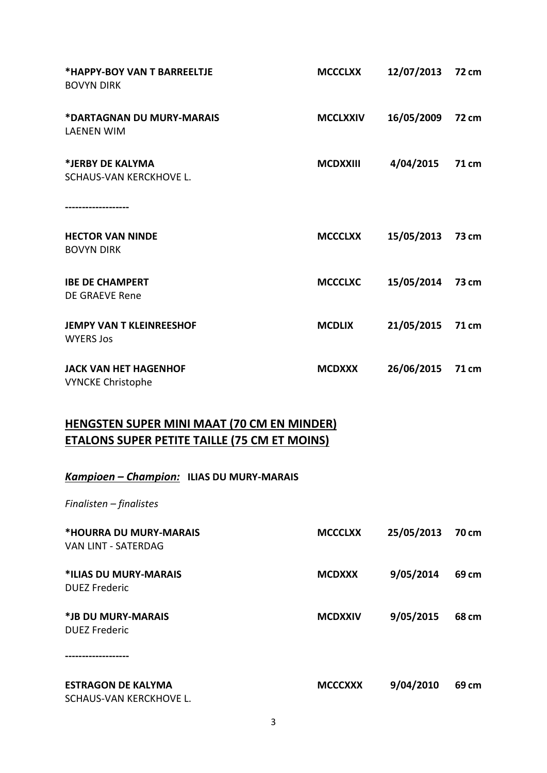| *HAPPY-BOY VAN T BARREELTJE<br><b>BOVYN DIRK</b>         | <b>MCCCLXX</b>  | 12/07/2013 | 72 cm        |
|----------------------------------------------------------|-----------------|------------|--------------|
| *DARTAGNAN DU MURY-MARAIS<br><b>LAENEN WIM</b>           | <b>MCCLXXIV</b> | 16/05/2009 | <b>72 cm</b> |
| *JERBY DE KALYMA<br>SCHAUS-VAN KERCKHOVE L.              | <b>MCDXXIII</b> | 4/04/2015  | 71 cm        |
| <b>HECTOR VAN NINDE</b><br><b>BOVYN DIRK</b>             | <b>MCCCLXX</b>  | 15/05/2013 | 73 cm        |
| <b>IBE DE CHAMPERT</b><br><b>DE GRAEVE Rene</b>          | <b>MCCCLXC</b>  | 15/05/2014 | 73 cm        |
| <b>JEMPY VAN T KLEINREESHOF</b><br><b>WYERS JOS</b>      | <b>MCDLIX</b>   | 21/05/2015 | 71 cm        |
| <b>JACK VAN HET HAGENHOF</b><br><b>VYNCKE Christophe</b> | <b>MCDXXX</b>   | 26/06/2015 | 71 cm        |

### **HENGSTEN SUPER MINI MAAT (70 CM EN MINDER) ETALONS SUPER PETITE TAILLE (75 CM ET MOINS)**

#### *Kampioen – Champion:* **ILIAS DU MURY-MARAIS**

| *HOURRA DU MURY-MARAIS<br><b>VAN LINT - SATERDAG</b> | <b>MCCCLXX</b> | 25/05/2013 | 70 cm |
|------------------------------------------------------|----------------|------------|-------|
| *ILIAS DU MURY-MARAIS<br>DUFZ Frederic               | <b>MCDXXX</b>  | 9/05/2014  | 69 cm |
| *JB DU MURY-MARAIS<br>DUFZ Frederic                  | <b>MCDXXIV</b> | 9/05/2015  | 68 cm |
|                                                      |                |            |       |
| <b>ESTRAGON DE KALYMA</b><br>SCHAUS-VAN KERCKHOVE L. | <b>MCCCXXX</b> | 9/04/2010  | 69 cm |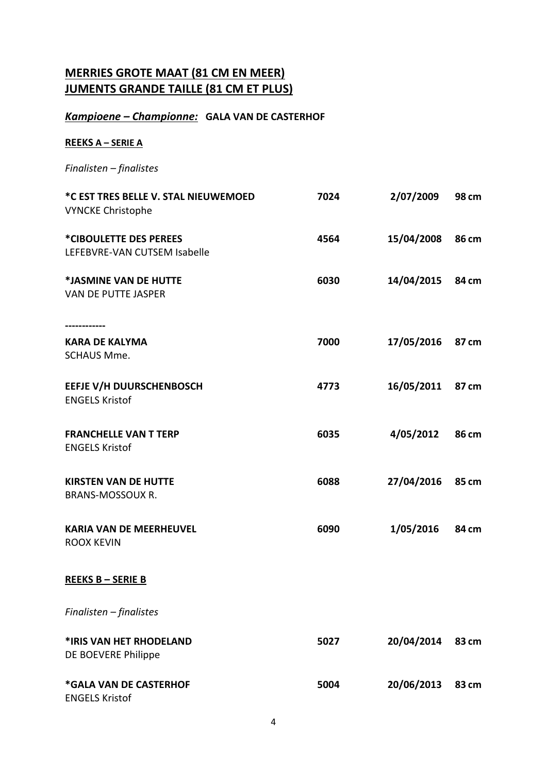### **MERRIES GROTE MAAT (81 CM EN MEER) JUMENTS GRANDE TAILLE (81 CM ET PLUS)**

# *Kampioene – Championne:* **GALA VAN DE CASTERHOF**

#### **REEKS A – SERIE A**

| *C EST TRES BELLE V. STAL NIEUWEMOED<br><b>VYNCKE Christophe</b> | 7024 | 2/07/2009  | 98 cm |
|------------------------------------------------------------------|------|------------|-------|
| *CIBOULETTE DES PEREES<br>LEFEBVRE-VAN CUTSEM Isabelle           | 4564 | 15/04/2008 | 86 cm |
| *JASMINE VAN DE HUTTE<br>VAN DE PUTTE JASPER                     | 6030 | 14/04/2015 | 84 cm |
| <br><b>KARA DE KALYMA</b><br><b>SCHAUS Mme.</b>                  | 7000 | 17/05/2016 | 87 cm |
| EEFJE V/H DUURSCHENBOSCH<br><b>ENGELS Kristof</b>                | 4773 | 16/05/2011 | 87 cm |
| <b>FRANCHELLE VAN T TERP</b><br><b>ENGELS Kristof</b>            | 6035 | 4/05/2012  | 86 cm |
| <b>KIRSTEN VAN DE HUTTE</b><br><b>BRANS-MOSSOUX R.</b>           | 6088 | 27/04/2016 | 85 cm |
| <b>KARIA VAN DE MEERHEUVEL</b><br><b>ROOX KEVIN</b>              | 6090 | 1/05/2016  | 84 cm |
| <b>REEKS B - SERIE B</b>                                         |      |            |       |
| Finalisten - finalistes                                          |      |            |       |
| *IRIS VAN HET RHODELAND<br>DE BOEVERE Philippe                   | 5027 | 20/04/2014 | 83 cm |
| *GALA VAN DE CASTERHOF<br><b>ENGELS Kristof</b>                  | 5004 | 20/06/2013 | 83 cm |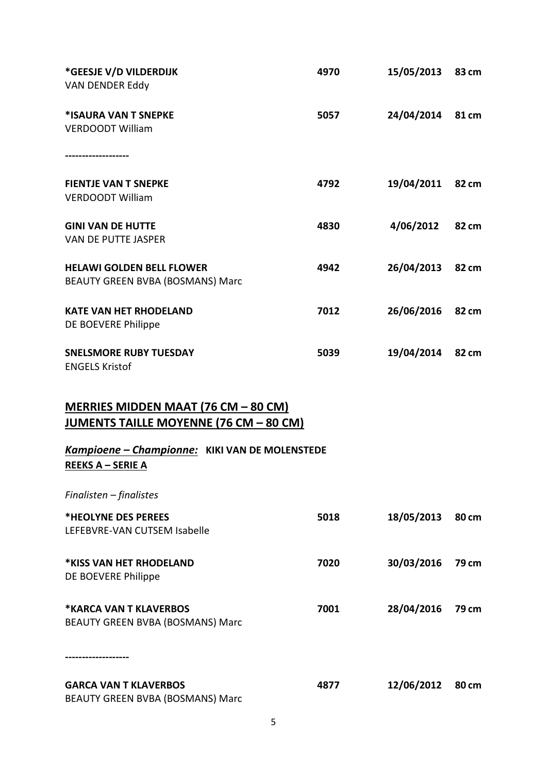| *GEESJE V/D VILDERDIJK<br><b>VAN DENDER Eddy</b>                                                                                         | 4970 | 15/05/2013 83 cm |       |
|------------------------------------------------------------------------------------------------------------------------------------------|------|------------------|-------|
| *ISAURA VAN T SNEPKE<br><b>VERDOODT William</b>                                                                                          | 5057 | 24/04/2014 81 cm |       |
| <b>FIENTJE VAN T SNEPKE</b><br><b>VERDOODT William</b>                                                                                   | 4792 | 19/04/2011       | 82 cm |
| <b>GINI VAN DE HUTTE</b><br>VAN DE PUTTE JASPER                                                                                          | 4830 | 4/06/2012 82 cm  |       |
| <b>HELAWI GOLDEN BELL FLOWER</b><br>BEAUTY GREEN BVBA (BOSMANS) Marc                                                                     | 4942 | 26/04/2013 82 cm |       |
| <b>KATE VAN HET RHODELAND</b><br>DE BOEVERE Philippe                                                                                     | 7012 | 26/06/2016 82 cm |       |
| <b>SNELSMORE RUBY TUESDAY</b><br><b>ENGELS Kristof</b>                                                                                   | 5039 | 19/04/2014       | 82 cm |
| MERRIES MIDDEN MAAT (76 CM $-$ 80 CM)<br><b>JUMENTS TAILLE MOYENNE (76 CM - 80 CM)</b><br>Kampioene - Championne: KIKI VAN DE MOLENSTEDE |      |                  |       |
| <b>REEKS A - SERIE A</b>                                                                                                                 |      |                  |       |
| Finalisten - finalistes<br>*HEOLYNE DES PEREES<br>LEFEBVRE-VAN CUTSEM Isabelle                                                           | 5018 | 18/05/2013       | 80 cm |
| *KISS VAN HET RHODELAND<br>DE BOEVERE Philippe                                                                                           | 7020 | 30/03/2016       | 79 cm |
| <b>*KARCA VAN T KLAVERBOS</b><br>BEAUTY GREEN BVBA (BOSMANS) Marc                                                                        | 7001 | 28/04/2016       | 79 cm |
| <b>GARCA VAN T KLAVERBOS</b><br>BEAUTY GREEN BVBA (BOSMANS) Marc                                                                         | 4877 | 12/06/2012       | 80 cm |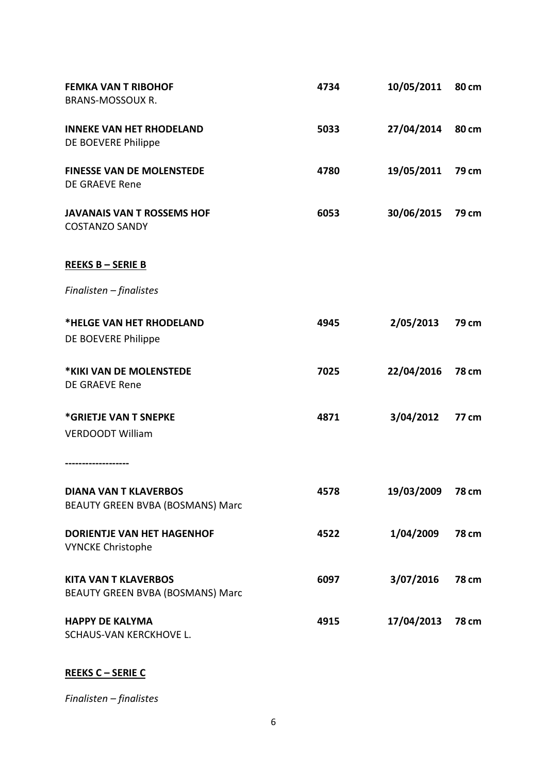| <b>FEMKA VAN T RIBOHOF</b><br><b>BRANS-MOSSOUX R.</b>            | 4734 | 10/05/2011       | 80 cm |
|------------------------------------------------------------------|------|------------------|-------|
| <b>INNEKE VAN HET RHODELAND</b><br>DE BOEVERE Philippe           | 5033 | 27/04/2014       | 80 cm |
| <b>FINESSE VAN DE MOLENSTEDE</b><br>DE GRAEVE Rene               | 4780 | 19/05/2011 79 cm |       |
| <b>JAVANAIS VAN T ROSSEMS HOF</b><br><b>COSTANZO SANDY</b>       | 6053 | 30/06/2015       | 79 cm |
| <b>REEKS B - SERIE B</b>                                         |      |                  |       |
| Finalisten - finalistes                                          |      |                  |       |
| *HELGE VAN HET RHODELAND<br>DE BOEVERE Philippe                  | 4945 | 2/05/2013        | 79 cm |
| *KIKI VAN DE MOLENSTEDE<br><b>DE GRAEVE Rene</b>                 | 7025 | 22/04/2016       | 78 cm |
| *GRIETJE VAN T SNEPKE<br><b>VERDOODT William</b>                 | 4871 | 3/04/2012        | 77 cm |
| <b>DIANA VAN T KLAVERBOS</b><br>BEAUTY GREEN BVBA (BOSMANS) Marc | 4578 | 19/03/2009       | 78 cm |
| <b>DORIENTJE VAN HET HAGENHOF</b><br><b>VYNCKE Christophe</b>    | 4522 | 1/04/2009        | 78 cm |
| <b>KITA VAN T KLAVERBOS</b><br>BEAUTY GREEN BVBA (BOSMANS) Marc  | 6097 | 3/07/2016        | 78 cm |
| <b>HAPPY DE KALYMA</b><br>SCHAUS-VAN KERCKHOVE L.                | 4915 | 17/04/2013       | 78 cm |

### **REEKS C – SERIE C**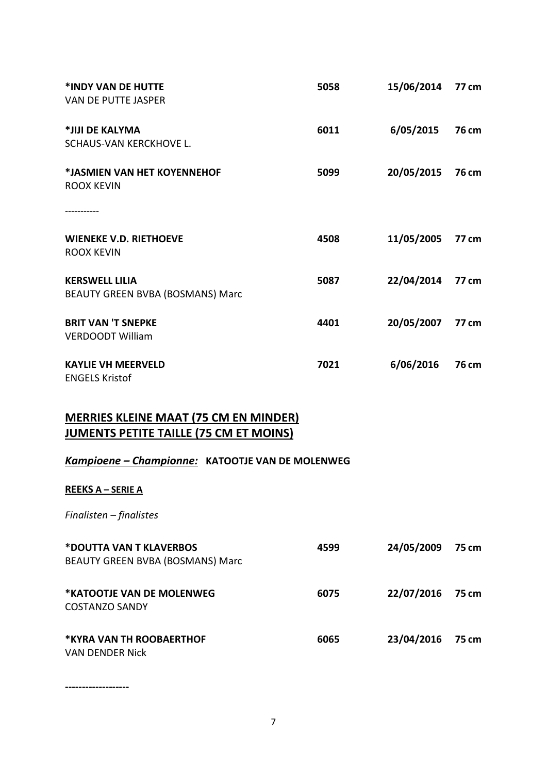| *INDY VAN DE HUTTE<br>VAN DE PUTTE JASPER                 | 5058 | 15/06/2014 | 77 cm |
|-----------------------------------------------------------|------|------------|-------|
| *JIJI DE KALYMA<br>SCHAUS-VAN KERCKHOVE L.                | 6011 | 6/05/2015  | 76 cm |
| *JASMIEN VAN HET KOYENNEHOF<br><b>ROOX KEVIN</b>          | 5099 | 20/05/2015 | 76 cm |
| <b>WIENEKE V.D. RIETHOEVE</b><br><b>ROOX KEVIN</b>        | 4508 | 11/05/2005 | 77 cm |
| <b>KERSWELL LILIA</b><br>BEAUTY GREEN BVBA (BOSMANS) Marc | 5087 | 22/04/2014 | 77 cm |
| <b>BRIT VAN 'T SNEPKE</b><br><b>VERDOODT William</b>      | 4401 | 20/05/2007 | 77 cm |
| <b>KAYLIE VH MEERVELD</b><br><b>ENGELS Kristof</b>        | 7021 | 6/06/2016  | 76 cm |

### **MERRIES KLEINE MAAT (75 CM EN MINDER) JUMENTS PETITE TAILLE (75 CM ET MOINS)**

### *Kampioene – Championne:* **KATOOTJE VAN DE MOLENWEG**

#### **REEKS A – SERIE A**

*Finalisten – finalistes*

| *DOUTTA VAN T KLAVERBOS<br><b>BEAUTY GREEN BVBA (BOSMANS) Marc</b> | 4599 | 24/05/2009       | 75 cm |
|--------------------------------------------------------------------|------|------------------|-------|
| *KATOOTJE VAN DE MOLENWEG<br><b>COSTANZO SANDY</b>                 | 6075 | 22/07/2016 75 cm |       |
| *KYRA VAN TH ROOBAERTHOF<br><b>VAN DENDER Nick</b>                 | 6065 | 23/04/2016 75 cm |       |

**-------------------**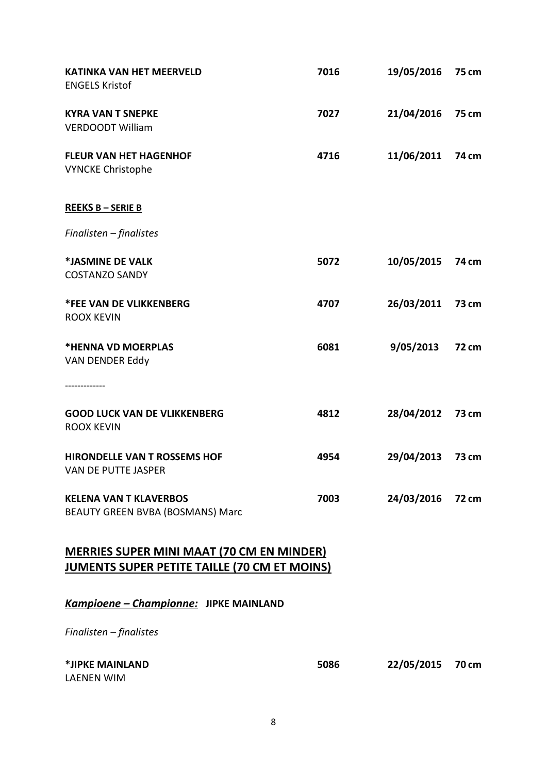| <b>KATINKA VAN HET MEERVELD</b><br><b>ENGELS Kristof</b>                                                | 7016 | 19/05/2016 | 75 cm |
|---------------------------------------------------------------------------------------------------------|------|------------|-------|
| <b>KYRA VAN T SNEPKE</b><br><b>VERDOODT William</b>                                                     | 7027 | 21/04/2016 | 75 cm |
| <b>FLEUR VAN HET HAGENHOF</b><br><b>VYNCKE Christophe</b>                                               | 4716 | 11/06/2011 | 74 cm |
| <b>REEKS B-SERIE B</b>                                                                                  |      |            |       |
| Finalisten - finalistes                                                                                 |      |            |       |
| *JASMINE DE VALK<br><b>COSTANZO SANDY</b>                                                               | 5072 | 10/05/2015 | 74 cm |
| <b>*FEE VAN DE VLIKKENBERG</b><br><b>ROOX KEVIN</b>                                                     | 4707 | 26/03/2011 | 73 cm |
| *HENNA VD MOERPLAS<br>VAN DENDER Eddy                                                                   | 6081 | 9/05/2013  | 72 cm |
| ------------<br><b>GOOD LUCK VAN DE VLIKKENBERG</b><br><b>ROOX KEVIN</b>                                | 4812 | 28/04/2012 | 73 cm |
| <b>HIRONDELLE VAN T ROSSEMS HOF</b><br>VAN DE PUTTE JASPER                                              | 4954 | 29/04/2013 | 73 cm |
| <b>KELENA VAN T KLAVERBOS</b><br>BEAUTY GREEN BVBA (BOSMANS) Marc                                       | 7003 | 24/03/2016 | 72 cm |
| <b>MERRIES SUPER MINI MAAT (70 CM EN MINDER)</b><br><b>JUMENTS SUPER PETITE TAILLE (70 CM ET MOINS)</b> |      |            |       |
| Kampioene - Championne: JIPKE MAINLAND                                                                  |      |            |       |
| Finalisten - finalistes                                                                                 |      |            |       |
| *JIPKE MAINLAND                                                                                         | 5086 | 22/05/2015 | 70 cm |

LAENEN WIM